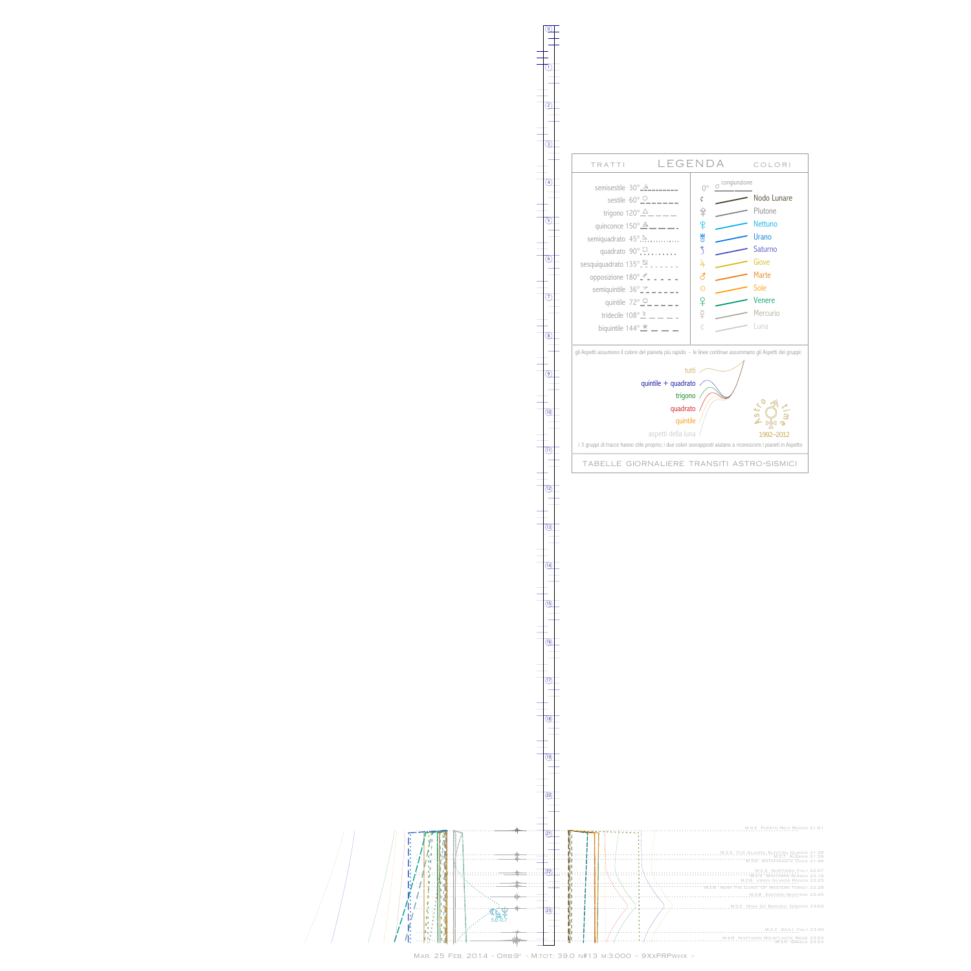